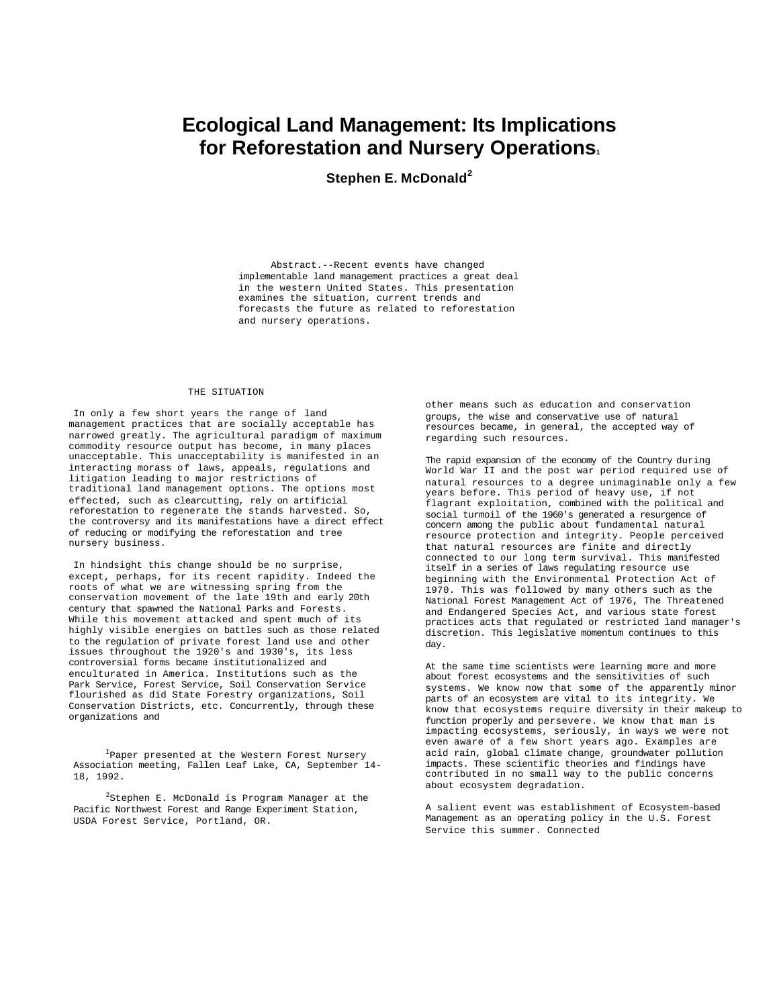# **Ecological Land Management: Its Implications for Reforestation and Nursery Operations<sup>1</sup>**

**Stephen E. McDonald<sup>2</sup>**

Abstract.--Recent events have changed implementable land management practices a great deal in the western United States. This presentation examines the situation, current trends and forecasts the future as related to reforestation and nursery operations.

#### THE SITUATION

In only a few short years the range of land management practices that are socially acceptable has narrowed greatly. The agricultural paradigm of maximum commodity resource output has become, in many places unacceptable. This unacceptability is manifested in an interacting morass of laws, appeals, regulations and litigation leading to major restrictions of traditional land management options. The options most effected, such as clearcutting, rely on artificial reforestation to regenerate the stands harvested. So, the controversy and its manifestations have a direct effect of reducing or modifying the reforestation and tree nursery business.

In hindsight this change should be no surprise, except, perhaps, for its recent rapidity. Indeed the roots of what we are witnessing spring from the conservation movement of the late 19th and early 20th century that spawned the National Parks and Forests. While this movement attacked and spent much of its highly visible energies on battles such as those related to the regulation of private forest land use and other issues throughout the 1920's and 1930's, its less controversial forms became institutionalized and enculturated in America. Institutions such as the Park Service, Forest Service, Soil Conservation Service flourished as did State Forestry organizations, Soil Conservation Districts, etc. Concurrently, through these organizations and

IPaper presented at the Western Forest Nursery Association meeting, Fallen Leaf Lake, CA, September 14- 18, 1992.

 $2$ Stephen E. McDonald is Program Manager at the Pacific Northwest Forest and Range Experiment Station, USDA Forest Service, Portland, OR.

other means such as education and conservation groups, the wise and conservative use of natural resources became, in general, the accepted way of regarding such resources.

The rapid expansion of the economy of the Country during World War II and the post war period required use of natural resources to a degree unimaginable only a few years before. This period of heavy use, if not flagrant exploitation, combined with the political and social turmoil of the 1960's generated a resurgence of concern among the public about fundamental natural resource protection and integrity. People perceived that natural resources are finite and directly connected to our long term survival. This manifested itself in a series of laws regulating resource use beginning with the Environmental Protection Act of 1970. This was followed by many others such as the National Forest Management Act of 1976, The Threatened and Endangered Species Act, and various state forest practices acts that regulated or restricted land manager's discretion. This legislative momentum continues to this day.

At the same time scientists were learning more and more about forest ecosystems and the sensitivities of such systems. We know now that some of the apparently minor parts of an ecosystem are vital to its integrity. We know that ecosystems require diversity in their makeup to function properly and persevere. We know that man is impacting ecosystems, seriously, in ways we were not even aware of a few short years ago. Examples are acid rain, global climate change, groundwater pollution impacts. These scientific theories and findings have contributed in no small way to the public concerns about ecosystem degradation.

A salient event was establishment of Ecosystem-based Management as an operating policy in the U.S. Forest Service this summer. Connected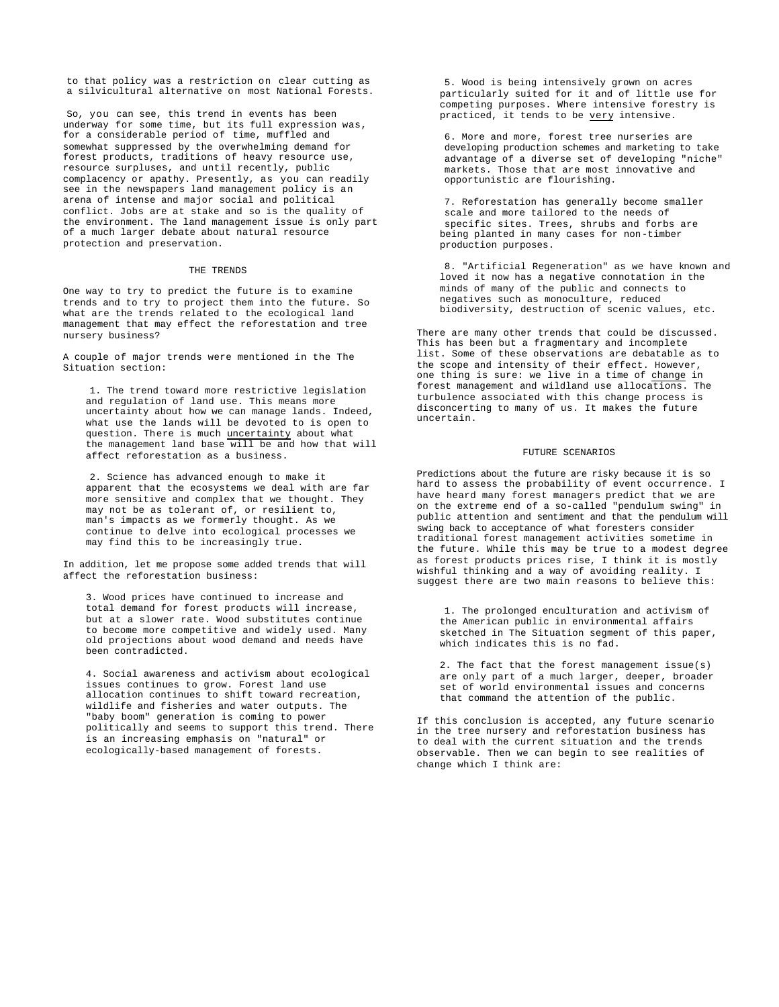to that policy was a restriction on clear cutting as a silvicultural alternative on most National Forests.

So, you can see, this trend in events has been underway for some time, but its full expression was, for a considerable period of time, muffled and somewhat suppressed by the overwhelming demand for forest products, traditions of heavy resource use, resource surpluses, and until recently, public complacency or apathy. Presently, as you can readily see in the newspapers land management policy is an arena of intense and major social and political conflict. Jobs are at stake and so is the quality of the environment. The land management issue is only part of a much larger debate about natural resource protection and preservation.

#### THE TRENDS

One way to try to predict the future is to examine trends and to try to project them into the future. So what are the trends related to the ecological land management that may effect the reforestation and tree nursery business?

A couple of major trends were mentioned in the The Situation section:

1. The trend toward more restrictive legislation and regulation of land use. This means more uncertainty about how we can manage lands. Indeed, what use the lands will be devoted to is open to question. There is much uncertainty about what the management land base will be and how that will affect reforestation as a business.

2. Science has advanced enough to make it apparent that the ecosystems we deal with are far more sensitive and complex that we thought. They may not be as tolerant of, or resilient to, man's impacts as we formerly thought. As we continue to delve into ecological processes we may find this to be increasingly true.

In addition, let me propose some added trends that will affect the reforestation business:

3. Wood prices have continued to increase and total demand for forest products will increase, but at a slower rate. Wood substitutes continue to become more competitive and widely used. Many old projections about wood demand and needs have been contradicted.

4. Social awareness and activism about ecological issues continues to grow. Forest land use allocation continues to shift toward recreation, wildlife and fisheries and water outputs. The "baby boom" generation is coming to power politically and seems to support this trend. There is an increasing emphasis on "natural" or ecologically-based management of forests.

5. Wood is being intensively grown on acres particularly suited for it and of little use for competing purposes. Where intensive forestry is practiced, it tends to be very intensive.

6. More and more, forest tree nurseries are developing production schemes and marketing to take advantage of a diverse set of developing "niche" markets. Those that are most innovative and opportunistic are flourishing.

7. Reforestation has generally become smaller scale and more tailored to the needs of specific sites. Trees, shrubs and forbs are being planted in many cases for non-timber production purposes.

8. "Artificial Regeneration" as we have known and loved it now has a negative connotation in the minds of many of the public and connects to negatives such as monoculture, reduced biodiversity, destruction of scenic values, etc.

There are many other trends that could be discussed. This has been but a fragmentary and incomplete list. Some of these observations are debatable as to the scope and intensity of their effect. However, one thing is sure: we live in a time of change in forest management and wildland use allocations. The turbulence associated with this change process is disconcerting to many of us. It makes the future uncertain.

## FUTURE SCENARIOS

Predictions about the future are risky because it is so hard to assess the probability of event occurrence. I have heard many forest managers predict that we are on the extreme end of a so-called "pendulum swing" in public attention and sentiment and that the pendulum will swing back to acceptance of what foresters consider traditional forest management activities sometime in the future. While this may be true to a modest degree as forest products prices rise, I think it is mostly wishful thinking and a way of avoiding reality. I suggest there are two main reasons to believe this:

1. The prolonged enculturation and activism of the American public in environmental affairs sketched in The Situation segment of this paper, which indicates this is no fad.

2. The fact that the forest management issue(s) are only part of a much larger, deeper, broader set of world environmental issues and concerns that command the attention of the public.

If this conclusion is accepted, any future scenario in the tree nursery and reforestation business has to deal with the current situation and the trends observable. Then we can begin to see realities of change which I think are: